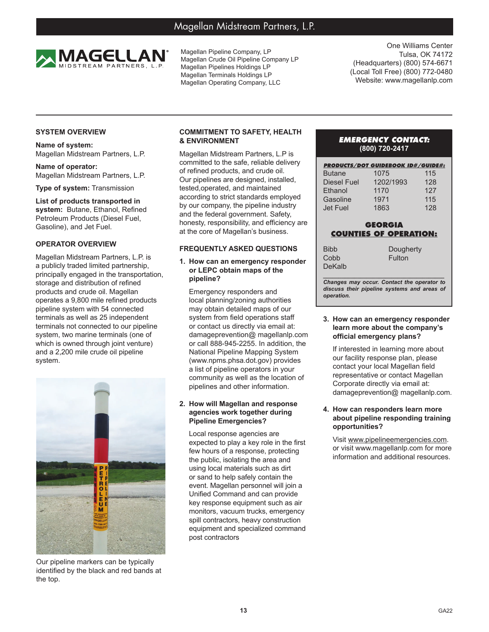# Magellan Midstream Partners, L.P.



Magellan Pipeline Company, LP Magellan Crude Oil Pipeline Company LP Magellan Pipelines Holdings LP Magellan Terminals Holdings LP Magellan Operating Company, LLC

One Williams Center Tulsa, OK 74172 (Headquarters) (800) 574-6671 (Local Toll Free) (800) 772-0480 Website: www.magellanlp.com

# **SYSTEM OVERVIEW**

**Name of system:** Magellan Midstream Partners, L.P.

**Name of operator:** Magellan Midstream Partners, L.P.

**Type of system:** Transmission

#### **List of products transported in system:** Butane, Ethanol, Refined Petroleum Products (Diesel Fuel, Gasoline), and Jet Fuel.

# **OPERATOR OVERVIEW**

Magellan Midstream Partners, L.P. is a publicly traded limited partnership, principally engaged in the transportation, storage and distribution of refined products and crude oil. Magellan operates a 9,800 mile refined products pipeline system with 54 connected terminals as well as 25 independent terminals not connected to our pipeline system, two marine terminals (one of which is owned through joint venture) and a 2,200 mile crude oil pipeline system.



Our pipeline markers can be typically identified by the black and red bands at the top.

# **COMMITMENT TO SAFETY, HEALTH & ENVIRONMENT**

Magellan Midstream Partners, L.P is committed to the safe, reliable delivery of refined products, and crude oil. Our pipelines are designed, installed, tested,operated, and maintained according to strict standards employed by our company, the pipeline industry and the federal government. Safety, honesty, responsibility, and efficiency are at the core of Magellan's business.

# **FREQUENTLY ASKED QUESTIONS**

#### **1. How can an emergency responder or LEPC obtain maps of the pipeline?**

Emergency responders and local planning/zoning authorities may obtain detailed maps of our system from field operations staff or contact us directly via email at: damageprevention@ magellanlp.com or call 888-945-2255. In addition, the National Pipeline Mapping System (www.npms.phsa.dot.gov) provides a list of pipeline operators in your community as well as the location of pipelines and other information.

#### **2. How will Magellan and response agencies work together during Pipeline Emergencies?**

Local response agencies are expected to play a key role in the first few hours of a response, protecting the public, isolating the area and using local materials such as dirt or sand to help safely contain the event. Magellan personnel will join a Unified Command and can provide key response equipment such as air monitors, vacuum trucks, emergency spill contractors, heavy construction equipment and specialized command post contractors

# *EMERGENCY CONTACT:* **(800) 720-2417**

| <b>PRODUCTS/DOT GUIDEBOOK ID#/GUIDE#:</b> |           |     |
|-------------------------------------------|-----------|-----|
| <b>Butane</b>                             | 1075      | 115 |
| <b>Diesel Fuel</b>                        | 1202/1993 | 128 |
| Ethanol                                   | 1170      | 127 |
| Gasoline                                  | 1971      | 115 |
| <b>Jet Fuel</b>                           | 1863      | 128 |

# **GEORGIA COUNTIES OF OPERATION:**

| Bibb   | Dougherty |
|--------|-----------|
| Cobb   | Fulton    |
| DeKalb |           |
|        |           |

Bi  $C<sub>0</sub>$ D<sub>t</sub>

*Changes may occur. Contact the operator to discuss their pipeline systems and areas of operation.*

#### **3. How can an emergency responder learn more about the company's official emergency plans?**

If interested in learning more about our facility response plan, please contact your local Magellan field representative or contact Magellan Corporate directly via email at: damageprevention@ magellanlp.com.

#### **4. How can responders learn more about pipeline responding training opportunities?**

Visit www.pipelineemergencies.com. or visit www.magellanlp.com for more information and additional resources.